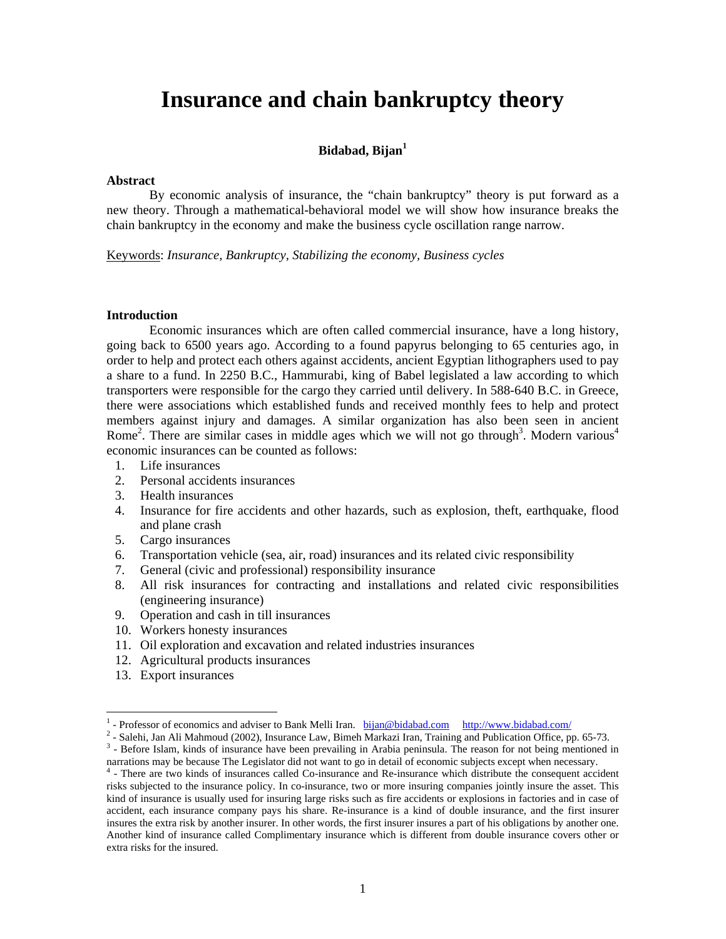# **Insurance and chain bankruptcy theory**

# **Bidabad, Bijan<sup>1</sup>**

#### **Abstract**

By economic analysis of insurance, the "chain bankruptcy" theory is put forward as a new theory. Through a mathematical-behavioral model we will show how insurance breaks the chain bankruptcy in the economy and make the business cycle oscillation range narrow.

Keywords: *Insurance, Bankruptcy, Stabilizing the economy, Business cycles* 

## **Introduction**

Economic insurances which are often called commercial insurance, have a long history, going back to 6500 years ago. According to a found papyrus belonging to 65 centuries ago, in order to help and protect each others against accidents, ancient Egyptian lithographers used to pay a share to a fund. In 2250 B.C., Hammurabi, king of Babel legislated a law according to which transporters were responsible for the cargo they carried until delivery. In 588-640 B.C. in Greece, there were associations which established funds and received monthly fees to help and protect members against injury and damages. A similar organization has also been seen in ancient Rome<sup>2</sup>. There are similar cases in middle ages which we will not go through<sup>3</sup>. Modern various<sup>4</sup> economic insurances can be counted as follows:

- 1. Life insurances
- 2. Personal accidents insurances
- 3. Health insurances
- 4. Insurance for fire accidents and other hazards, such as explosion, theft, earthquake, flood and plane crash
- 5. Cargo insurances
- 6. Transportation vehicle (sea, air, road) insurances and its related civic responsibility
- 7. General (civic and professional) responsibility insurance
- 8. All risk insurances for contracting and installations and related civic responsibilities (engineering insurance)
- 9. Operation and cash in till insurances
- 10. Workers honesty insurances
- 11. Oil exploration and excavation and related industries insurances
- 12. Agricultural products insurances
- 13. Export insurances

 $\overline{a}$ 

<sup>&</sup>lt;sup>1</sup> - Professor of economics and adviser to Bank Melli Iran. bij<u>an@bidabad.com http://www.bidabad.com/</u>  $\frac{2}{\pi}$  Selection Atti Mechanical (2002). Insurance Law Bimech Merkezi Iran. Training and Publication Office at

 $2$  - Salehi, Jan Ali Mahmoud (2002), Insurance Law, Bimeh Markazi Iran, Training and Publication Office, pp. 65-73. <sup>3</sup> - Before Islam, kinds of insurance have been prevailing in Arabia peninsula. The reason for not being mentioned in narrations may be because The Legislator did not want to go in detail of economic subjects except when necessary. 4

<sup>&</sup>lt;sup>4</sup> - There are two kinds of insurances called Co-insurance and Re-insurance which distribute the consequent accident risks subjected to the insurance policy. In co-insurance, two or more insuring companies jointly insure the asset. This kind of insurance is usually used for insuring large risks such as fire accidents or explosions in factories and in case of accident, each insurance company pays his share. Re-insurance is a kind of double insurance, and the first insurer insures the extra risk by another insurer. In other words, the first insurer insures a part of his obligations by another one. Another kind of insurance called Complimentary insurance which is different from double insurance covers other or extra risks for the insured.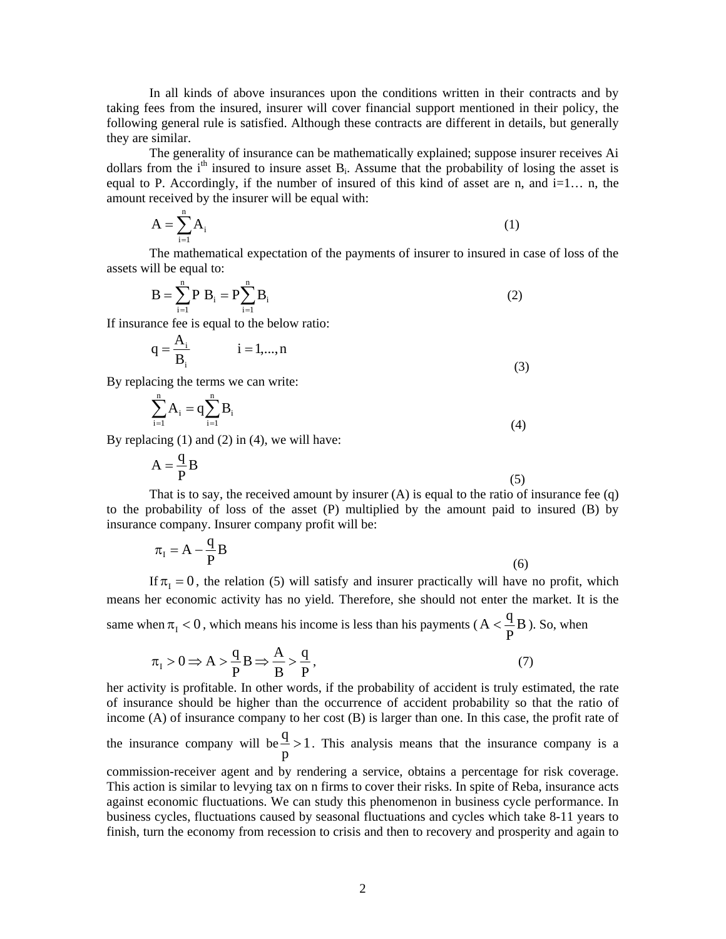In all kinds of above insurances upon the conditions written in their contracts and by taking fees from the insured, insurer will cover financial support mentioned in their policy, the following general rule is satisfied. Although these contracts are different in details, but generally they are similar.

The generality of insurance can be mathematically explained; suppose insurer receives Ai dollars from the  $i<sup>th</sup>$  insured to insure asset B<sub>i</sub>. Assume that the probability of losing the asset is equal to P. Accordingly, if the number of insured of this kind of asset are n, and  $i=1...$  n, the amount received by the insurer will be equal with:

$$
A = \sum_{i=1}^{n} A_i
$$
 (1)

The mathematical expectation of the payments of insurer to insured in case of loss of the assets will be equal to:

$$
B = \sum_{i=1}^{n} P B_i = P \sum_{i=1}^{n} B_i
$$
 (2)

If insurance fee is equal to the below ratio:

$$
q = \frac{A_i}{B_i} \qquad i = 1,...,n
$$
\n(3)

By replacing the terms we can write:

$$
\sum_{i=1}^{n} A_i = q \sum_{i=1}^{n} B_i
$$
 (4)

By replacing  $(1)$  and  $(2)$  in  $(4)$ , we will have:

$$
A = \frac{q}{P}B
$$
 (5)

That is to say, the received amount by insurer  $(A)$  is equal to the ratio of insurance fee  $(q)$ to the probability of loss of the asset (P) multiplied by the amount paid to insured (B) by insurance company. Insurer company profit will be:

$$
\pi_{I} = A - \frac{q}{P}B\tag{6}
$$

If  $\pi_1 = 0$ , the relation (5) will satisfy and insurer practically will have no profit, which means her economic activity has no yield. Therefore, she should not enter the market. It is the same when  $\pi_I < 0$ , which means his income is less than his payments ( $A < \frac{4}{P}B$  $A < \frac{q}{R}B$ ). So, when

$$
\pi_{\mathcal{I}} > 0 \Longrightarrow A > \frac{q}{P} \mathcal{B} \Longrightarrow \frac{A}{B} > \frac{q}{P},\tag{7}
$$

her activity is profitable. In other words, if the probability of accident is truly estimated, the rate of insurance should be higher than the occurrence of accident probability so that the ratio of income (A) of insurance company to her cost (B) is larger than one. In this case, the profit rate of the insurance company will be  $\frac{4}{5}$  > 1 p  $\frac{q}{r} > 1$ . This analysis means that the insurance company is a

commission-receiver agent and by rendering a service, obtains a percentage for risk coverage. This action is similar to levying tax on n firms to cover their risks. In spite of Reba, insurance acts against economic fluctuations. We can study this phenomenon in business cycle performance. In business cycles, fluctuations caused by seasonal fluctuations and cycles which take 8-11 years to finish, turn the economy from recession to crisis and then to recovery and prosperity and again to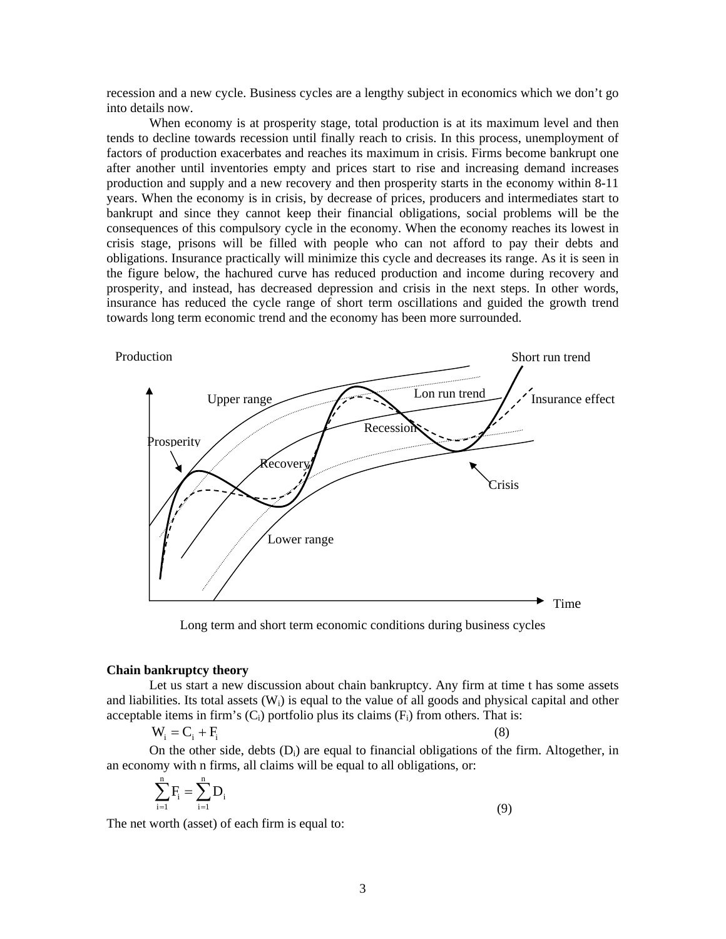recession and a new cycle. Business cycles are a lengthy subject in economics which we don't go into details now.

When economy is at prosperity stage, total production is at its maximum level and then tends to decline towards recession until finally reach to crisis. In this process, unemployment of factors of production exacerbates and reaches its maximum in crisis. Firms become bankrupt one after another until inventories empty and prices start to rise and increasing demand increases production and supply and a new recovery and then prosperity starts in the economy within 8-11 years. When the economy is in crisis, by decrease of prices, producers and intermediates start to bankrupt and since they cannot keep their financial obligations, social problems will be the consequences of this compulsory cycle in the economy. When the economy reaches its lowest in crisis stage, prisons will be filled with people who can not afford to pay their debts and obligations. Insurance practically will minimize this cycle and decreases its range. As it is seen in the figure below, the hachured curve has reduced production and income during recovery and prosperity, and instead, has decreased depression and crisis in the next steps. In other words, insurance has reduced the cycle range of short term oscillations and guided the growth trend towards long term economic trend and the economy has been more surrounded.



Long term and short term economic conditions during business cycles

#### **Chain bankruptcy theory**

Let us start a new discussion about chain bankruptcy. Any firm at time t has some assets and liabilities. Its total assets  $(W_i)$  is equal to the value of all goods and physical capital and other acceptable items in firm's  $(C_i)$  portfolio plus its claims  $(F_i)$  from others. That is:

$$
W_i = C_i + F_i \tag{8}
$$

On the other side, debts  $(D_i)$  are equal to financial obligations of the firm. Altogether, in an economy with n firms, all claims will be equal to all obligations, or:

$$
\sum_{i=1}^{n} F_i = \sum_{i=1}^{n} D_i
$$
\n(9)

The net worth (asset) of each firm is equal to: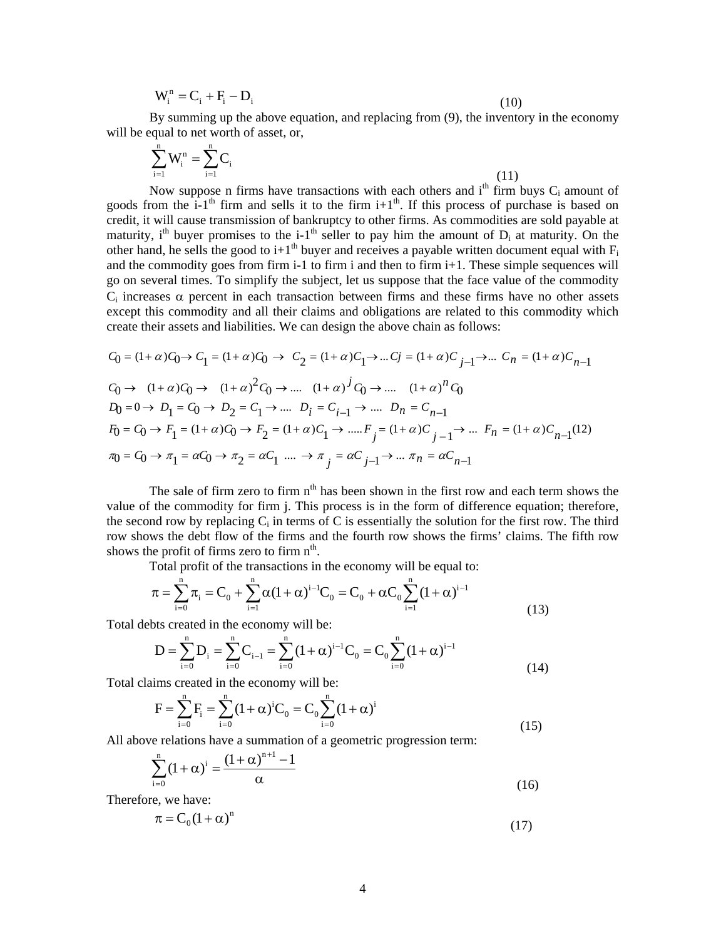$$
\mathbf{W}_{i}^{\mathrm{n}} = \mathbf{C}_{i} + \mathbf{F}_{i} - \mathbf{D}_{i} \tag{10}
$$

By summing up the above equation, and replacing from (9), the inventory in the economy will be equal to net worth of asset, or,

$$
\sum_{i=1}^{n} W_i^n = \sum_{i=1}^{n} C_i
$$
\n(11)

Now suppose n firms have transactions with each others and  $i<sup>th</sup>$  firm buys  $C<sub>i</sub>$  amount of goods from the i-1<sup>th</sup> firm and sells it to the firm i+1<sup>th</sup>. If this process of purchase is based on credit, it will cause transmission of bankruptcy to other firms. As commodities are sold payable at maturity, i<sup>th</sup> buyer promises to the i-1<sup>th</sup> seller to pay him the amount of  $D_i$  at maturity. On the other hand, he sells the good to i+1<sup>th</sup> buyer and receives a payable written document equal with  $F_i$ and the commodity goes from firm  $i-1$  to firm i and then to firm  $i+1$ . These simple sequences will go on several times. To simplify the subject, let us suppose that the face value of the commodity  $C_i$  increases  $\alpha$  percent in each transaction between firms and these firms have no other assets except this commodity and all their claims and obligations are related to this commodity which create their assets and liabilities. We can design the above chain as follows:

$$
C_0 = (1 + \alpha)C_0 \rightarrow C_1 = (1 + \alpha)C_0 \rightarrow C_2 = (1 + \alpha)C_1 \rightarrow \dots Cj = (1 + \alpha)C_{j-1} \rightarrow \dots C_n = (1 + \alpha)C_{n-1}
$$
  
\n
$$
C_0 \rightarrow (1 + \alpha)C_0 \rightarrow (1 + \alpha)^2 C_0 \rightarrow \dots (1 + \alpha)^j C_0 \rightarrow \dots (1 + \alpha)^n C_0
$$
  
\n
$$
D_0 = 0 \rightarrow D_1 = C_0 \rightarrow D_2 = C_1 \rightarrow \dots D_i = C_{i-1} \rightarrow \dots D_n = C_{n-1}
$$
  
\n
$$
F_0 = C_0 \rightarrow F_1 = (1 + \alpha)C_0 \rightarrow F_2 = (1 + \alpha)C_1 \rightarrow \dots F_j = (1 + \alpha)C_{j-1} \rightarrow \dots F_n = (1 + \alpha)C_{n-1}(12)
$$
  
\n
$$
\pi_0 = C_0 \rightarrow \pi_1 = \alpha C_0 \rightarrow \pi_2 = \alpha C_1 \dots \rightarrow \pi_j = \alpha C_{j-1} \rightarrow \dots \pi_n = \alpha C_{n-1}
$$

The sale of firm zero to firm  $n<sup>th</sup>$  has been shown in the first row and each term shows the value of the commodity for firm j. This process is in the form of difference equation; therefore, the second row by replacing  $C_i$  in terms of C is essentially the solution for the first row. The third row shows the debt flow of the firms and the fourth row shows the firms' claims. The fifth row shows the profit of firms zero to firm  $n<sup>th</sup>$ .

Total profit of the transactions in the economy will be equal to:

$$
\pi = \sum_{i=0}^{n} \pi_i = C_0 + \sum_{i=1}^{n} \alpha (1 + \alpha)^{i-1} C_0 = C_0 + \alpha C_0 \sum_{i=1}^{n} (1 + \alpha)^{i-1}
$$
\n(13)

Total debts created in the economy will be:

$$
D = \sum_{i=0}^{n} D_i = \sum_{i=0}^{n} C_{i-1} = \sum_{i=0}^{n} (1 + \alpha)^{i-1} C_0 = C_0 \sum_{i=0}^{n} (1 + \alpha)^{i-1}
$$
(14)

Total claims created in the economy will be:

$$
F = \sum_{i=0}^{n} F_i = \sum_{i=0}^{n} (1 + \alpha)^i C_0 = C_0 \sum_{i=0}^{n} (1 + \alpha)^i
$$
\n(15)

All above relations have a summation of a geometric progression term:

$$
\sum_{i=0}^{n} (1 + \alpha)^{i} = \frac{(1 + \alpha)^{n+1} - 1}{\alpha}
$$
\n(16)

Therefore, we have:

$$
\pi = \mathbf{C}_0 (1 + \alpha)^n \tag{17}
$$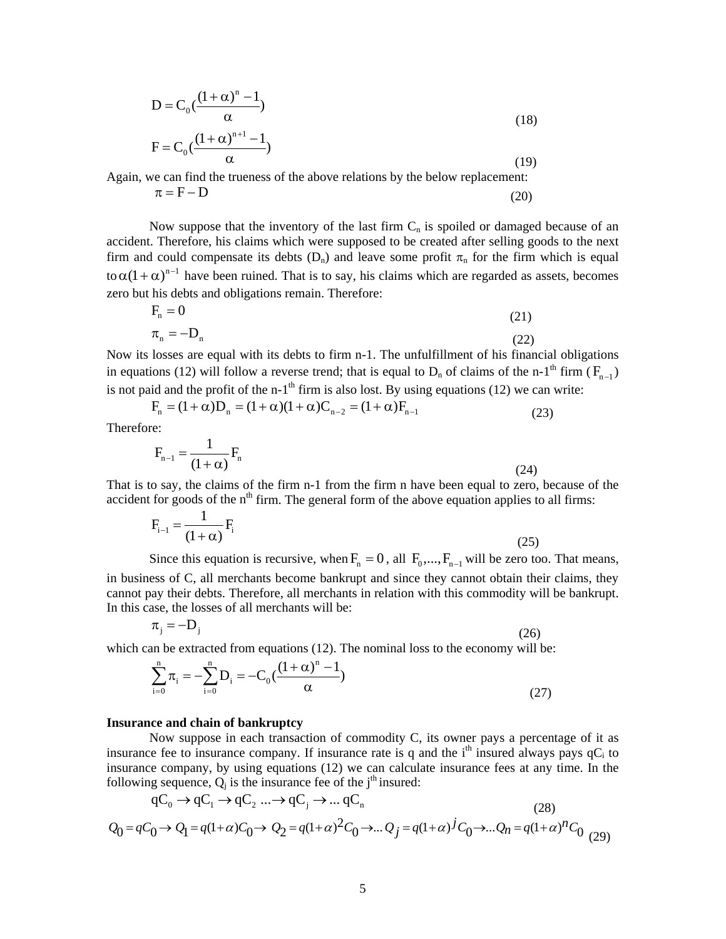$$
D = C_0 \left( \frac{(1 + \alpha)^n - 1}{\alpha} \right)
$$
  
\n
$$
F = C_0 \left( \frac{(1 + \alpha)^{n+1} - 1}{\alpha} \right)
$$
 (18)

 $\alpha$  (19) Again, we can find the trueness of the above relations by the below replacement:

$$
\pi = \mathbf{F} - \mathbf{D} \tag{20}
$$

Now suppose that the inventory of the last firm  $C_n$  is spoiled or damaged because of an accident. Therefore, his claims which were supposed to be created after selling goods to the next firm and could compensate its debts  $(D_n)$  and leave some profit  $\pi_n$  for the firm which is equal to  $\alpha (1 + \alpha)^{n-1}$  have been ruined. That is to say, his claims which are regarded as assets, becomes zero but his debts and obligations remain. Therefore:

$$
F_n = 0
$$
\n
$$
\pi_n = -D_n
$$
\n(21)\n(22)

Now its losses are equal with its debts to firm n-1. The unfulfillment of his financial obligations in equations (12) will follow a reverse trend; that is equal to  $D_n$  of claims of the n-1<sup>th</sup> firm ( $F_{n-1}$ ) is not paid and the profit of the n-1<sup>th</sup> firm is also lost. By using equations (12) we can write:

$$
F_n = (1 + \alpha)D_n = (1 + \alpha)(1 + \alpha)C_{n-2} = (1 + \alpha)F_{n-1}
$$
\n(23)

Therefore:

$$
F_{n-1} = \frac{1}{(1+\alpha)} F_n
$$
 (24)

That is to say, the claims of the firm n-1 from the firm n have been equal to zero, because of the accident for goods of the  $n<sup>th</sup>$  firm. The general form of the above equation applies to all firms:

$$
F_{i-1} = \frac{1}{(1+\alpha)} F_i
$$
 (25)

Since this equation is recursive, when  $F_n = 0$ , all  $F_0, ..., F_{n-1}$  will be zero too. That means, in business of C, all merchants become bankrupt and since they cannot obtain their claims, they

cannot pay their debts. Therefore, all merchants in relation with this commodity will be bankrupt. In this case, the losses of all merchants will be:

$$
\pi_{j} = -D_{j} \tag{26}
$$

which can be extracted from equations (12). The nominal loss to the economy will be:

$$
\sum_{i=0}^{n} \pi_i = -\sum_{i=0}^{n} D_i = -C_0 \left( \frac{(1+\alpha)^n - 1}{\alpha} \right)
$$
\n(27)

## **Insurance and chain of bankruptcy**

Now suppose in each transaction of commodity C, its owner pays a percentage of it as insurance fee to insurance company. If insurance rate is q and the i<sup>th</sup> insured always pays  $qC_i$  to insurance company, by using equations (12) we can calculate insurance fees at any time. In the following sequence,  $Q_i$  is the insurance fee of the j<sup>th</sup> insured:

$$
qC_0 \rightarrow qC_1 \rightarrow qC_2 \dots \rightarrow qC_j \rightarrow \dots qC_n
$$
\n
$$
Q_0 = qC_0 \rightarrow Q_1 = q(1+\alpha)C_0 \rightarrow Q_2 = q(1+\alpha)^2 C_0 \rightarrow \dots Q_j = q(1+\alpha)^j C_0 \rightarrow \dots Q_n = q(1+\alpha)^n C_0
$$
\n
$$
(28)
$$
\n
$$
(29)
$$